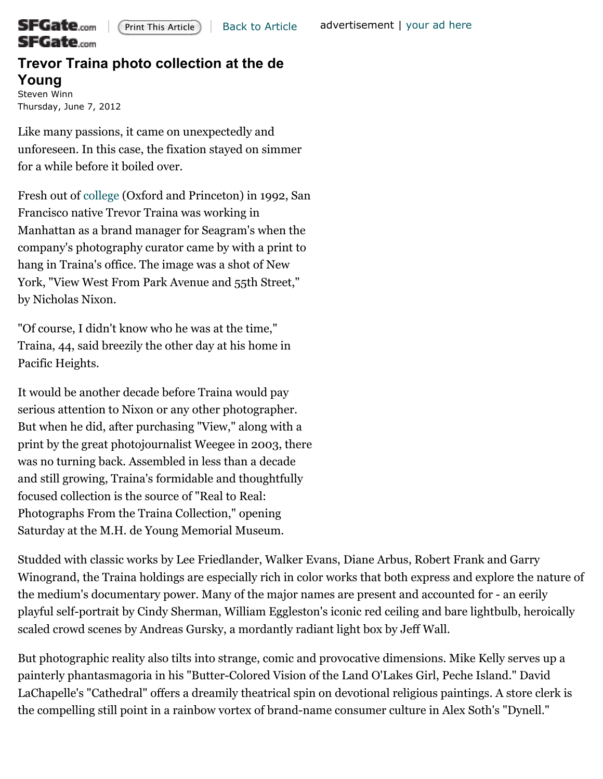

## ${\mathop{\mathsf{SFGate}}}_\text{com}$ **SFGate**.com

## **Trevor Traina photo collection at the de Young** [Steven Winn](mailto:swinn@sfchronicle.com)

Thursday, June 7, 2012

Like many passions, it came on unexpectedly and unforeseen. In this case, the fixation stayed on simmer for a while before it boiled over.

Fresh out of [college](http://www.sfgate.com/education-guide/) (Oxford and Princeton) in 1992, San Francisco native Trevor Traina was working in Manhattan as a brand manager for Seagram's when the company's photography curator came by with a print to hang in Traina's office. The image was a shot of New York, "View West From Park Avenue and 55th Street," by Nicholas Nixon.

"Of course, I didn't know who he was at the time," Traina, 44, said breezily the other day at his home in Pacific Heights.

It would be another decade before Traina would pay serious attention to Nixon or any other photographer. But when he did, after purchasing "View," along with a print by the great photojournalist Weegee in 2003, there was no turning back. Assembled in less than a decade and still growing, Traina's formidable and thoughtfully focused collection is the source of "Real to Real: Photographs From the Traina Collection," opening Saturday at the M.H. de Young Memorial Museum.

Studded with classic works by Lee Friedlander, Walker Evans, Diane Arbus, Robert Frank and Garry Winogrand, the Traina holdings are especially rich in color works that both express and explore the nature of the medium's documentary power. Many of the major names are present and accounted for - an eerily playful self-portrait by Cindy Sherman, William Eggleston's iconic red ceiling and bare lightbulb, heroically scaled crowd scenes by Andreas Gursky, a mordantly radiant light box by Jeff Wall.

But photographic reality also tilts into strange, comic and provocative dimensions. Mike Kelly serves up a painterly phantasmagoria in his "Butter-Colored Vision of the Land O'Lakes Girl, Peche Island." David LaChapelle's "Cathedral" offers a dreamily theatrical spin on devotional religious paintings. A store clerk is the compelling still point in a rainbow vortex of brand-name consumer culture in Alex Soth's "Dynell."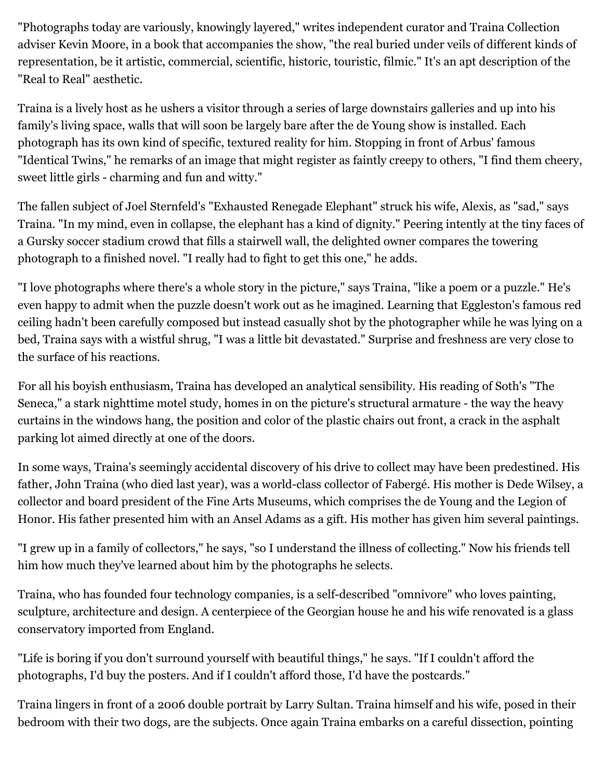"Photographs today are variously, knowingly layered," writes independent curator and Traina Collection adviser Kevin Moore, in a book that accompanies the show, "the real buried under veils of different kinds of representation, be it artistic, commercial, scientific, historic, touristic, filmic." It's an apt description of the "Real to Real" aesthetic.

Traina is a lively host as he ushers a visitor through a series of large downstairs galleries and up into his family's living space, walls that will soon be largely bare after the de Young show is installed. Each photograph has its own kind of specific, textured reality for him. Stopping in front of Arbus' famous "Identical Twins," he remarks of an image that might register as faintly creepy to others, "I find them cheery, sweet little girls - charming and fun and witty."

The fallen subject of Joel Sternfeld's "Exhausted Renegade Elephant" struck his wife, Alexis, as "sad," says Traina. "In my mind, even in collapse, the elephant has a kind of dignity." Peering intently at the tiny faces of a Gursky soccer stadium crowd that fills a stairwell wall, the delighted owner compares the towering photograph to a finished novel. "I really had to fight to get this one," he adds.

"I love photographs where there's a whole story in the picture," says Traina, "like a poem or a puzzle." He's even happy to admit when the puzzle doesn't work out as he imagined. Learning that Eggleston's famous red ceiling hadn't been carefully composed but instead casually shot by the photographer while he was lying on a bed, Traina says with a wistful shrug, "I was a little bit devastated." Surprise and freshness are very close to the surface of his reactions.

For all his boyish enthusiasm, Traina has developed an analytical sensibility. His reading of Soth's "The Seneca," a stark nighttime motel study, homes in on the picture's structural armature - the way the heavy curtains in the windows hang, the position and color of the plastic chairs out front, a crack in the asphalt parking lot aimed directly at one of the doors.

In some ways, Traina's seemingly accidental discovery of his drive to collect may have been predestined. His father, John Traina (who died last year), was a world-class collector of Fabergé. His mother is Dede Wilsey, a collector and board president of the Fine Arts Museums, which comprises the de Young and the Legion of Honor. His father presented him with an Ansel Adams as a gift. His mother has given him several paintings.

"I grew up in a family of collectors," he says, "so I understand the illness of collecting." Now his friends tell him how much they've learned about him by the photographs he selects.

Traina, who has founded four technology companies, is a self-described "omnivore" who loves painting, sculpture, architecture and design. A centerpiece of the Georgian house he and his wife renovated is a glass conservatory imported from England.

"Life is boring if you don't surround yourself with beautiful things," he says. "If I couldn't afford the photographs, I'd buy the posters. And if I couldn't afford those, I'd have the postcards."

Traina lingers in front of a 2006 double portrait by Larry Sultan. Traina himself and his wife, posed in their bedroom with their two dogs, are the subjects. Once again Traina embarks on a careful dissection, pointing